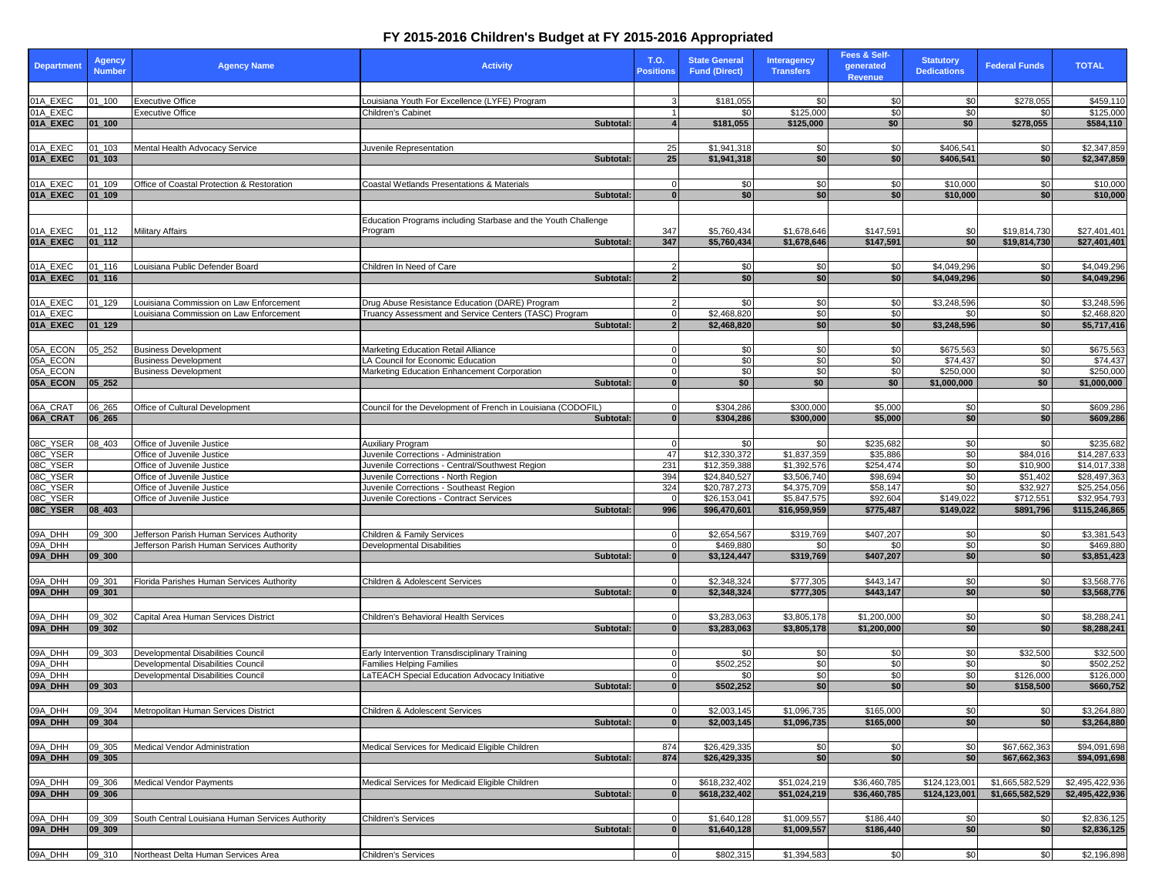## **FY 2015-2016 Children's Budget at FY 2015-2016 Appropriated**

| <b>Department</b>    | <b>Agency</b><br><b>Number</b> | <b>Agency Name</b>                                                                | <b>Activity</b>                                                                                         | T.O.<br><b>Positions</b> | <b>State General</b><br><b>Fund (Direct)</b> | <b>Interagency</b><br><b>Transfers</b> | Fees & Self-<br>generated<br><b>Revenue</b> | <b>Statutory</b><br><b>Dedications</b> | <b>Federal Funds</b>         | <b>TOTAL</b>                 |
|----------------------|--------------------------------|-----------------------------------------------------------------------------------|---------------------------------------------------------------------------------------------------------|--------------------------|----------------------------------------------|----------------------------------------|---------------------------------------------|----------------------------------------|------------------------------|------------------------------|
|                      |                                |                                                                                   |                                                                                                         |                          |                                              |                                        |                                             |                                        |                              |                              |
| 01A_EXEC             | $01 - 100$                     | <b>Executive Office</b>                                                           | Louisiana Youth For Excellence (LYFE) Program                                                           |                          | \$181,055                                    | \$0                                    | \$0                                         | \$0                                    | \$278,055                    | \$459,110                    |
| 01A EXEC             |                                | Executive Office                                                                  | Children's Cabinet                                                                                      |                          | \$0                                          | \$125,000                              | \$0                                         | \$0                                    | \$0                          | \$125,000                    |
| 01A_EXEC             | $01 - 100$                     |                                                                                   | Subtotal:                                                                                               |                          | \$181,055                                    | \$125,000                              | \$0                                         | \$0                                    | \$278,055                    | \$584,110                    |
|                      |                                |                                                                                   |                                                                                                         |                          |                                              |                                        |                                             |                                        |                              |                              |
| 01A_EXEC             | 01 103                         | Mental Health Advocacy Service                                                    | Juvenile Representation                                                                                 | 25                       | \$1,941,318                                  | \$0                                    | \$0                                         | \$406,541                              | \$0                          | \$2,347,859                  |
| 01A_EXEC             | $01 - 103$                     |                                                                                   | Subtotal:                                                                                               | 25                       | \$1,941,318                                  | \$0                                    | \$0                                         | \$406,541                              | \$0                          | \$2,347,859                  |
|                      |                                |                                                                                   |                                                                                                         |                          |                                              |                                        |                                             |                                        |                              |                              |
| 01A_EXEC             | $01 - 109$                     | Office of Coastal Protection & Restoration                                        | Coastal Wetlands Presentations & Materials                                                              |                          | \$0                                          | \$0                                    | \$0                                         | \$10,000                               | \$0                          | \$10,000                     |
| 01A_EXEC             | $01_109$                       |                                                                                   | Subtotal:                                                                                               | $\Omega$                 | \$0                                          | \$0                                    | \$0                                         | \$10,000                               | \$0                          | \$10,000                     |
|                      |                                |                                                                                   |                                                                                                         |                          |                                              |                                        |                                             |                                        |                              |                              |
|                      |                                |                                                                                   | Education Programs including Starbase and the Youth Challenge                                           |                          | \$5.760.434                                  |                                        |                                             |                                        |                              |                              |
| 01A_EXEC<br>01A_EXEC | $01 - 112$<br>01_112           | Military Affairs                                                                  | Program<br>Subtotal:                                                                                    | 347<br>347               | \$5,760,434                                  | \$1,678,646<br>\$1,678,646             | \$147,591<br>\$147,591                      | \$0<br>\$0                             | \$19,814,730<br>\$19,814,730 | \$27,401,401<br>\$27,401,401 |
|                      |                                |                                                                                   |                                                                                                         |                          |                                              |                                        |                                             |                                        |                              |                              |
|                      |                                |                                                                                   |                                                                                                         |                          |                                              |                                        |                                             |                                        |                              |                              |
| 01A_EXEC<br>01A_EXEC | $01 - 116$<br>01_116           | Louisiana Public Defender Board                                                   | Children In Need of Care<br>Subtotal:                                                                   | $\overline{2}$           | \$0<br>\$0                                   | \$0<br>\$0                             | \$0<br>\$0                                  | \$4,049,296<br>\$4,049,296             | \$0<br>\$0                   | \$4,049,296<br>\$4,049,296   |
|                      |                                |                                                                                   |                                                                                                         |                          |                                              |                                        |                                             |                                        |                              |                              |
|                      | $01 - 129$                     |                                                                                   |                                                                                                         |                          | \$0                                          | \$0                                    |                                             |                                        |                              |                              |
| 01A_EXEC<br>01A EXEC |                                | Louisiana Commission on Law Enforcement<br>ouisiana Commission on Law Enforcement | Drug Abuse Resistance Education (DARE) Program<br>Truancy Assessment and Service Centers (TASC) Program | $\overline{0}$           | \$2,468,820                                  | \$0                                    | \$0<br>\$0                                  | \$3,248,596<br>\$0                     | \$0<br>\$0                   | \$3,248,596<br>\$2,468,820   |
| 01A_EXEC             | 01_129                         |                                                                                   | Subtotal:                                                                                               | $\overline{2}$           | \$2,468,820                                  | \$0                                    | \$0                                         | \$3,248,596                            | \$0                          | \$5,717,416                  |
|                      |                                |                                                                                   |                                                                                                         |                          |                                              |                                        |                                             |                                        |                              |                              |
| 05A ECON             | $05 - 252$                     | <b>Business Development</b>                                                       | Marketing Education Retail Alliance                                                                     | $\Omega$                 | \$0                                          | \$0                                    | \$0                                         | \$675,563                              | \$0                          | \$675,563                    |
| 05A_ECON             |                                | <b>Business Development</b>                                                       | LA Council for Economic Education                                                                       |                          | \$0                                          | \$0                                    | \$0                                         | \$74,437                               | \$0                          | \$74,437                     |
| 05A ECON             |                                | <b>Business Development</b>                                                       | Marketing Education Enhancement Corporation                                                             | $\Omega$                 | \$0                                          | \$0                                    | \$0                                         | \$250,000                              | \$0                          | \$250,000                    |
| 05A_ECON             | $05 - 252$                     |                                                                                   | Subtotal:                                                                                               | $\overline{0}$           | \$0                                          | \$0                                    | \$0                                         | \$1,000,000                            | \$0                          | \$1,000,000                  |
|                      |                                |                                                                                   |                                                                                                         |                          |                                              |                                        |                                             |                                        |                              |                              |
| 06A_CRAT             | 06_265                         | Office of Cultural Development                                                    | Council for the Development of French in Louisiana (CODOFIL)                                            |                          | \$304,286                                    | \$300,000                              | \$5,000                                     | \$0                                    | \$0                          | \$609,286                    |
| 06A_CRAT             | 06_265                         |                                                                                   | Subtotal:                                                                                               | $\Omega$                 | \$304,286                                    | \$300,000                              | \$5,000                                     | \$0                                    | \$0                          | \$609,286                    |
|                      |                                |                                                                                   |                                                                                                         |                          |                                              |                                        |                                             |                                        |                              |                              |
| 08C_YSER             | 08 403                         | Office of Juvenile Justice                                                        | Auxiliary Program                                                                                       |                          | \$0                                          | \$0                                    | \$235,682                                   | \$0                                    | \$0                          | \$235,682                    |
| 08C_YSER             |                                | Office of Juvenile Justice                                                        | Juvenile Corrections - Administration                                                                   | 47                       | \$12,330,372                                 | \$1,837,359                            | \$35,886                                    | \$0                                    | \$84,016                     | \$14,287,633                 |
| 08C_YSER             |                                | Office of Juvenile Justice                                                        | Juvenile Corrections - Central/Southwest Region                                                         | 231                      | \$12,359,388                                 | \$1,392,576                            | \$254,474                                   | \$0                                    | \$10,900                     | \$14,017,338                 |
| 08C_YSER             |                                | Office of Juvenile Justice                                                        | Juvenile Corrections - North Region                                                                     | 394                      | \$24,840,527                                 | \$3,506,740                            | \$98,694                                    | \$0                                    | \$51,402                     | \$28,497,363                 |
| 08C_YSER             |                                | Office of Juvenile Justice                                                        | Juvenile Corrections - Southeast Region                                                                 | 324                      | \$20,787,273                                 | \$4,375,709                            | \$58,147                                    | \$0                                    | \$32,927                     | \$25,254,056                 |
| 08C_YSER             |                                | Office of Juvenile Justice                                                        | Juvenile Corections - Contract Services                                                                 | $\Omega$                 | \$26,153,041                                 | \$5,847,575                            | \$92,604                                    | \$149,022                              | \$712,551                    | \$32,954,793                 |
| 08C_YSER             | 08_403                         |                                                                                   | Subtotal:                                                                                               | 996                      | \$96,470,601                                 | \$16,959,959                           | \$775,487                                   | \$149,022                              | \$891,796                    | \$115,246,865                |
|                      |                                |                                                                                   |                                                                                                         |                          |                                              |                                        |                                             |                                        |                              |                              |
| 09A_DHH              | 09_300                         | Jefferson Parish Human Services Authority                                         | Children & Family Services                                                                              |                          | \$2,654,567                                  | \$319,769                              | \$407,207                                   | \$0                                    | \$0                          | \$3,381,543                  |
| 09A_DHH              |                                | Jefferson Parish Human Services Authority                                         | Developmental Disabilities                                                                              | 0                        | \$469,880                                    | \$0                                    | \$0                                         | \$0                                    | \$0                          | \$469,880                    |
| 09A_DHH              | 09 300                         |                                                                                   | Subtotal:                                                                                               | $\mathbf{0}$             | \$3,124,447                                  | \$319,769                              | \$407,207                                   | \$0                                    | \$0                          | \$3,851,423                  |
|                      |                                |                                                                                   |                                                                                                         |                          |                                              |                                        |                                             |                                        |                              |                              |
| 09A_DHH              | 09_301                         | Florida Parishes Human Services Authority                                         | Children & Adolescent Services                                                                          | $\Omega$                 | \$2,348,324                                  | \$777,305                              | \$443,147                                   | \$0                                    | \$0                          | \$3,568,776                  |
| 09A_DHH              | 09_301                         |                                                                                   | Subtotal:                                                                                               | $\overline{0}$           | \$2,348,324                                  | \$777,305                              | \$443,147                                   | \$0                                    | \$0                          | \$3,568,776                  |
|                      |                                |                                                                                   |                                                                                                         |                          |                                              |                                        |                                             |                                        |                              |                              |
| 09A DHH<br>09A_DHH   | 09_302<br>09_302               | Capital Area Human Services District                                              | Children's Behavioral Health Services<br>Subtotal:                                                      | $\bf{0}$                 | \$3,283,063<br>\$3,283,063                   | \$3,805,178<br>\$3,805,178             | \$1,200,000<br>\$1,200,000                  | \$0<br>\$0                             | \$0<br>\$0                   | \$8,288,241<br>\$8,288,241   |
|                      |                                |                                                                                   |                                                                                                         |                          |                                              |                                        |                                             |                                        |                              |                              |
| 09A_DHH              | 09 303                         | Developmental Disabilities Council                                                |                                                                                                         |                          |                                              | \$0                                    |                                             |                                        | \$32,500                     | \$32,500                     |
| 09A_DHH              |                                | Developmental Disabilities Council                                                | Early Intervention Transdisciplinary Training<br><b>Families Helping Families</b>                       | $\Omega$                 | \$0<br>\$502,252                             | \$0                                    | \$0<br>\$0                                  | \$0<br>\$0                             | \$0                          | \$502,252                    |
| 09A DHH              |                                | Developmental Disabilities Council                                                | LaTEACH Special Education Advocacy Initiative                                                           |                          | \$0                                          | \$0                                    | \$0                                         | \$0                                    | \$126,000                    | \$126,000                    |
| 09A_DHH              | 09 303                         |                                                                                   | Subtotal:                                                                                               | $\overline{0}$           | \$502,252                                    | \$0                                    | \$0                                         | \$0                                    | \$158,500                    | \$660,752                    |
|                      |                                |                                                                                   |                                                                                                         |                          |                                              |                                        |                                             |                                        |                              |                              |
| 09A_DHH              | 09_304                         | Metropolitan Human Services District                                              | Children & Adolescent Services                                                                          | $\overline{0}$           | \$2,003,145                                  | \$1,096,735                            | \$165,000                                   | \$0                                    | \$0                          | \$3,264,880                  |
| 09A_DHH              | 09_304                         |                                                                                   | Subtotal:                                                                                               | $\Omega$                 | \$2,003,145                                  | \$1,096,735                            | \$165,000                                   | \$0                                    | \$0                          | \$3,264,880                  |
|                      |                                |                                                                                   |                                                                                                         |                          |                                              |                                        |                                             |                                        |                              |                              |
| 09A_DHH              | 09_305                         | Medical Vendor Administration                                                     | Medical Services for Medicaid Eligible Children                                                         | 874                      | \$26,429,335                                 | \$0                                    | \$0                                         | \$0                                    | \$67,662,363                 | \$94,091,698                 |
| 09A_DHH              | 09_305                         |                                                                                   | Subtotal:                                                                                               | 874                      | \$26,429,335                                 | \$0                                    | \$0                                         | \$0                                    | \$67,662,363                 | \$94,091,698                 |
|                      |                                |                                                                                   |                                                                                                         |                          |                                              |                                        |                                             |                                        |                              |                              |
| 09A_DHH              | 09_306                         | <b>Medical Vendor Payments</b>                                                    | Medical Services for Medicaid Eligible Children                                                         | $\Omega$                 | \$618,232,402                                | \$51,024,219                           | \$36,460,785                                | \$124,123,001                          | \$1,665,582,529              | \$2,495,422,936              |
| 09A_DHH              | 09_306                         |                                                                                   | Subtotal:                                                                                               | $\Omega$                 | \$618,232,402                                | \$51,024,219                           | \$36,460,785                                | \$124, 123, 001                        | \$1,665,582,529              | \$2,495,422,936              |
|                      |                                |                                                                                   |                                                                                                         |                          |                                              |                                        |                                             |                                        |                              |                              |
| 09A_DHH              | 09_309                         | South Central Louisiana Human Services Authority                                  | <b>Children's Services</b>                                                                              |                          | \$1,640,128                                  | \$1,009,557                            | \$186,440                                   | \$0                                    | \$0                          | \$2,836,125                  |
| 09A_DHH              | 09_309                         |                                                                                   | Subtotal:                                                                                               | $\overline{0}$           | \$1,640,128                                  | \$1,009,557                            | \$186,440                                   | \$0                                    | \$0                          | \$2,836,125                  |
|                      |                                |                                                                                   |                                                                                                         |                          |                                              |                                        |                                             |                                        |                              |                              |
| 09A_DHH              | 09_310                         | Northeast Delta Human Services Area                                               | <b>Children's Services</b>                                                                              | $\overline{0}$           | \$802,315                                    | \$1,394,583                            | \$0                                         | \$0                                    | \$0                          | \$2,196,898                  |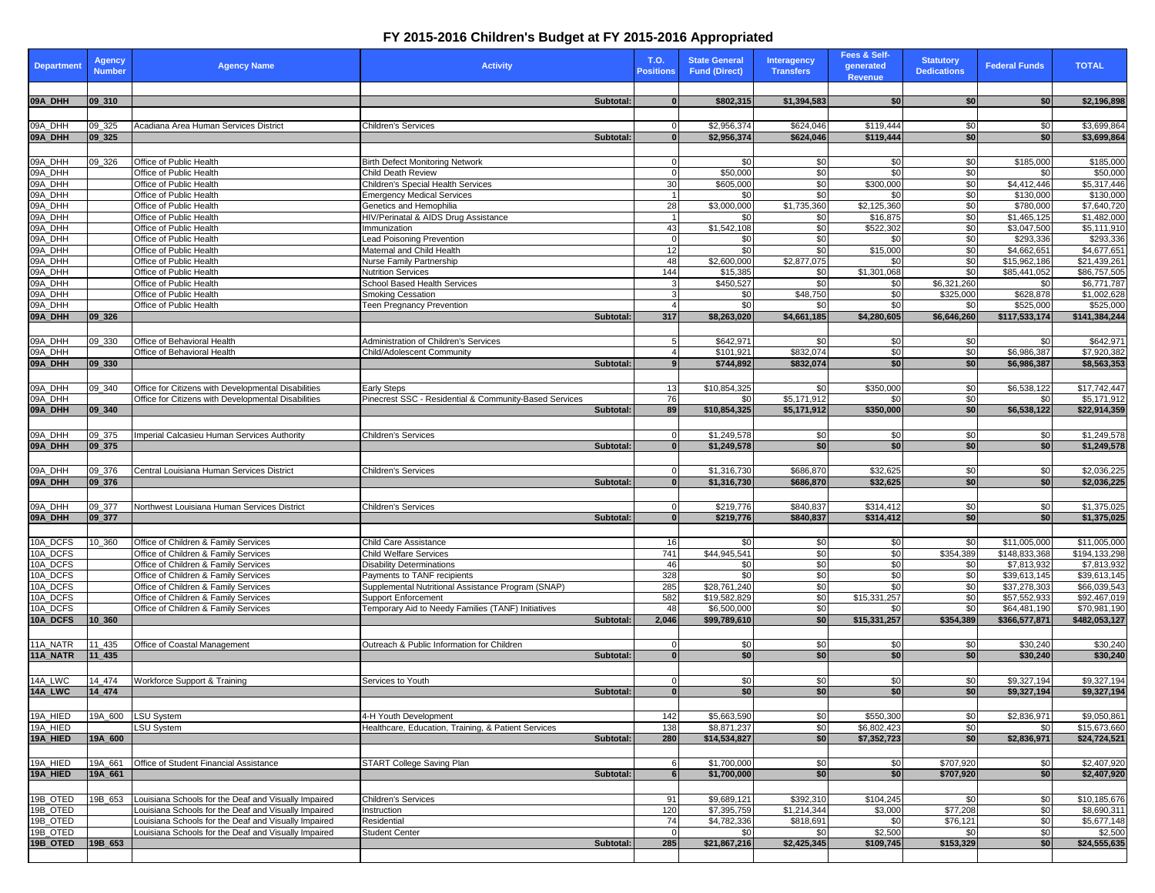## **FY 2015-2016 Children's Budget at FY 2015-2016 Appropriated**

| <b>Department</b>    | <b>Agency</b><br><b>Number</b> | <b>Agency Name</b>                                                                                           | <b>Activity</b>                                                                  | T.O.<br><b>Positions</b> | <b>State General</b><br><b>Fund (Direct)</b>         | <b>Interagency</b><br><b>Transfers</b> | Fees & Self-<br>generated<br><b>Revenue</b> | <b>Statutory</b><br><b>Dedications</b> | <b>Federal Funds</b>         | <b>TOTAL</b>                 |
|----------------------|--------------------------------|--------------------------------------------------------------------------------------------------------------|----------------------------------------------------------------------------------|--------------------------|------------------------------------------------------|----------------------------------------|---------------------------------------------|----------------------------------------|------------------------------|------------------------------|
|                      |                                |                                                                                                              |                                                                                  |                          |                                                      |                                        |                                             |                                        |                              |                              |
| 09A_DHH              | $ 09_310 $                     |                                                                                                              | Subtotal:                                                                        |                          | \$802,315<br>$\overline{0}$                          | \$1,394,583                            | \$0                                         | \$0                                    | \$0                          | \$2,196,898                  |
|                      |                                |                                                                                                              |                                                                                  |                          | \$2,956,374                                          |                                        | \$119,444                                   |                                        |                              |                              |
| 09A_DHH<br>09A_DHH   | 09 325<br>09_325               | Acadiana Area Human Services District                                                                        | Children's Services<br>Subtotal:                                                 |                          | $\overline{0}$<br>\$2,956,374<br>$\overline{0}$      | \$624,046<br>\$624,046                 | \$119,444                                   | \$0<br>\$0                             | \$0<br>\$0                   | \$3,699,864<br>\$3,699,864   |
|                      |                                |                                                                                                              |                                                                                  |                          |                                                      |                                        |                                             |                                        |                              |                              |
| 09A_DHH              | 09_326                         | Office of Public Health                                                                                      | <b>Birth Defect Monitoring Network</b>                                           |                          | \$0                                                  | \$0                                    | \$0                                         | \$0                                    | \$185,000                    | \$185,000                    |
| 09A_DHH              |                                | Office of Public Health                                                                                      | Child Death Review                                                               |                          | \$50,000<br><sup>o</sup>                             | \$0                                    | \$0                                         | \$0                                    | \$0                          | \$50,000                     |
| 09A_DHH              |                                | Office of Public Health                                                                                      | Children's Special Health Services                                               | 30 <sup>1</sup>          | \$605,000                                            | \$0                                    | \$300,000                                   | \$0                                    | \$4,412,446                  | \$5,317,446                  |
| 09A_DHH              |                                | Office of Public Health                                                                                      | <b>Emergency Medical Services</b>                                                |                          | \$0<br>\$3.000.000                                   | \$0                                    | \$0                                         | \$0                                    | \$130,000                    | \$130,000                    |
| 09A_DHH<br>09A_DHH   |                                | Office of Public Health<br>Office of Public Health                                                           | <b>Genetics and Hemophilia</b><br>HIV/Perinatal & AIDS Drug Assistance           | 28                       | \$0                                                  | \$1,735,360<br>\$0                     | \$2,125,360<br>\$16,875                     | \$0<br>\$0                             | \$780,000<br>\$1,465,125     | \$7,640,720<br>\$1,482,000   |
| 09A_DHH              |                                | Office of Public Health                                                                                      | Immunization                                                                     | 43                       | \$1,542,108                                          | \$0                                    | \$522,302                                   | \$0                                    | \$3,047,500                  | \$5,111,910                  |
| 09A_DHH              |                                | Office of Public Health                                                                                      | Lead Poisoning Prevention                                                        | $\Omega$                 | \$0                                                  | \$0                                    | \$0                                         | \$0                                    | \$293,336                    | \$293,336                    |
| 09A_DHH              |                                | Office of Public Health                                                                                      | Maternal and Child Health                                                        | 12                       | \$0                                                  | \$0                                    | \$15,000                                    | \$0                                    | \$4,662,651                  | \$4,677,651                  |
| 09A_DHH              |                                | Office of Public Health                                                                                      | Nurse Family Partnership                                                         | 48                       | \$2,600,000                                          | \$2,877.075                            | \$0                                         | \$0                                    | \$15,962,186                 | \$21,439,261                 |
| 09A_DHH<br>09A_DHH   |                                | Office of Public Health<br>Office of Public Health                                                           | <b>Nutrition Services</b><br>School Based Health Services                        | 144<br>3                 | \$15,385<br>\$450,527                                | \$0<br>\$0                             | \$1,301,068<br>\$0                          | \$0<br>\$6,321,260                     | \$85,441,052<br>\$0          | \$86,757,505<br>\$6,771,787  |
| 09A_DHH              |                                | Office of Public Health                                                                                      | <b>Smoking Cessation</b>                                                         |                          | \$0                                                  | \$48,750                               | \$0                                         | \$325,000                              | \$628,878                    | \$1,002,628                  |
| 09A_DHH              |                                | Office of Public Health                                                                                      | Teen Pregnancy Prevention                                                        | $\overline{a}$           | \$0                                                  | \$0                                    | \$0                                         | \$0                                    | \$525,000                    | \$525,000                    |
| 09A_DHH              | 09_326                         |                                                                                                              | Subtotal:                                                                        | 317                      | \$8,263,020                                          | \$4,661,185                            | \$4,280,605                                 | \$6,646,260                            | \$117,533,174                | \$141,384,244                |
|                      |                                |                                                                                                              |                                                                                  |                          |                                                      |                                        |                                             |                                        |                              |                              |
| 09A_DHH              | 09_330                         | Office of Behavioral Health                                                                                  | Administration of Children's Services                                            |                          | \$642,971                                            | \$0                                    | \$0                                         | \$0                                    | \$0                          | \$642,971                    |
| 09A_DHH              |                                | Office of Behavioral Health                                                                                  | Child/Adolescent Community                                                       |                          | \$101,92<br>4                                        | \$832,074                              | \$0                                         | \$0                                    | \$6,986,387                  | \$7,920,382                  |
| 09A_DHH              | 09_330                         |                                                                                                              | Subtotal:                                                                        |                          | \$744,892                                            | \$832,074                              | \$0                                         | \$0                                    | \$6,986,387                  | \$8,563,353                  |
|                      |                                |                                                                                                              |                                                                                  |                          |                                                      |                                        |                                             |                                        |                              |                              |
| 09A_DHH<br>09A_DHH   | 09 340                         | Office for Citizens with Developmental Disabilities<br>Office for Citizens with Developmental Disabilities   | <b>Early Steps</b><br>Pinecrest SSC - Residential & Community-Based Services     | 13<br>76                 | \$10,854,325<br>\$0                                  | \$0<br>\$5,171,912                     | \$350,000<br>\$0                            | \$0<br>\$0                             | \$6,538,122<br>\$0           | \$17,742,447<br>\$5,171,912  |
| 09A_DHH              | 09 340                         |                                                                                                              | Subtotal:                                                                        | 89                       | \$10,854,325                                         | \$5,171,912                            | \$350,000                                   | \$0                                    | \$6,538,122                  | \$22,914,359                 |
|                      |                                |                                                                                                              |                                                                                  |                          |                                                      |                                        |                                             |                                        |                              |                              |
| 09A_DHH              | 09_375                         | Imperial Calcasieu Human Services Authority                                                                  | Children's Services                                                              |                          | \$1,249,578                                          | \$0                                    | \$0                                         | \$0                                    | \$0                          | \$1,249,578                  |
| 09A_DHH              | 09_375                         |                                                                                                              | Subtotal:                                                                        | $\bf{0}$                 | \$1,249,578                                          | \$0                                    | \$0                                         | \$0                                    | \$0                          | \$1,249,578                  |
|                      |                                |                                                                                                              |                                                                                  |                          |                                                      |                                        |                                             |                                        |                              |                              |
| 09A_DHH              | 09 376                         | Central Louisiana Human Services District                                                                    | Children's Services                                                              |                          | \$1,316,730<br>$\overline{0}$                        | \$686,870                              | \$32,625                                    | \$0                                    | \$0                          | \$2,036,225                  |
| 09A_DHH              | 09_376                         |                                                                                                              | Subtotal:                                                                        |                          | $\overline{0}$<br>\$1,316,730                        | \$686,870                              | \$32,625                                    | \$0                                    | \$0                          | \$2,036,225                  |
|                      |                                |                                                                                                              |                                                                                  |                          |                                                      |                                        |                                             |                                        |                              |                              |
| 09A_DHH<br>09A_DHH   | 09_377<br>09_377               | Northwest Louisiana Human Services District                                                                  | <b>Children's Services</b><br>Subtotal:                                          |                          | \$219,776<br>$\Omega$<br>\$219,776<br>$\overline{0}$ | \$840,837<br>\$840,837                 | \$314,412<br>\$314,412                      | \$0<br>\$0                             | \$0<br>\$0                   | \$1,375,025<br>\$1,375,025   |
|                      |                                |                                                                                                              |                                                                                  |                          |                                                      |                                        |                                             |                                        |                              |                              |
| 10A_DCFS             | 10_360                         | Office of Children & Family Services                                                                         | Child Care Assistance                                                            | 16                       | \$0                                                  | \$0                                    | \$0                                         | \$0                                    | \$11,005,000                 | \$11,005,000                 |
| 10A_DCFS             |                                | Office of Children & Family Services                                                                         | <b>Child Welfare Services</b>                                                    | 741                      | \$44,945,541                                         | \$0                                    | \$0                                         | \$354,389                              | \$148,833,368                | \$194,133,298                |
| 10A_DCFS             |                                | Office of Children & Family Services                                                                         | <b>Disability Determinations</b>                                                 | 46                       | \$0                                                  | \$0                                    | \$0                                         | \$0                                    | \$7,813,932                  | \$7,813,932                  |
| 10A_DCFS             |                                | Office of Children & Family Services                                                                         | Payments to TANF recipients                                                      | 328                      | \$0                                                  | \$0                                    | \$0                                         | \$0                                    | \$39,613,145                 | \$39,613,145                 |
| 10A_DCFS             |                                | Office of Children & Family Services                                                                         | Supplemental Nutritional Assistance Program (SNAP)                               | 285<br>582               | \$28,761,240<br>\$19,582,829                         | \$0<br>\$0                             | \$0<br>\$15,331,257                         | \$0<br>\$0                             | \$37,278,303<br>\$57,552,933 | \$66,039,543                 |
| 10A_DCFS<br>10A DCFS |                                | Office of Children & Family Services<br>Office of Children & Family Services                                 | <b>Support Enforcement</b><br>Temporary Aid to Needy Families (TANF) Initiatives | 48                       | \$6,500,000                                          | \$0                                    | \$0                                         | \$0                                    | \$64,481,190                 | \$92,467,019<br>\$70,981,190 |
| 10A_DCFS             | 10 360                         |                                                                                                              | Subtotal:                                                                        | 2,046                    | \$99,789,610                                         | \$0                                    | \$15,331,257                                | \$354,389                              | \$366,577,871                | \$482,053,127                |
|                      |                                |                                                                                                              |                                                                                  |                          |                                                      |                                        |                                             |                                        |                              |                              |
| 11A_NATR             | 11_435                         | Office of Coastal Management                                                                                 | Outreach & Public Information for Children                                       |                          | \$0<br>O                                             | \$0                                    | \$0                                         | \$0                                    | \$30,240                     | \$30,240                     |
| 11A_NATR             | $11_435$                       |                                                                                                              | <b>Subtotal</b>                                                                  |                          | \$0<br>$\Omega$                                      | \$0                                    | \$0                                         | \$0                                    | \$30,240                     | \$30,240                     |
|                      |                                |                                                                                                              |                                                                                  |                          |                                                      |                                        |                                             |                                        |                              |                              |
| 14A_LWC              | 14 474                         | Workforce Support & Training                                                                                 | Services to Youth                                                                |                          | \$0<br>$\Omega$                                      | \$0                                    | \$0                                         | \$0                                    | \$9,327,194                  | \$9,327,194                  |
| 14A LWC              | 14_474                         |                                                                                                              | Subtotal:                                                                        |                          | \$0                                                  | \$0                                    | \$0                                         | \$0                                    | \$9,327,194                  | \$9,327,194                  |
|                      |                                |                                                                                                              |                                                                                  |                          |                                                      |                                        |                                             |                                        |                              | \$9,050,861                  |
| 19A_HIED<br>19A_HIED | 19A_600                        | <b>LSU System</b><br>LSU System                                                                              | 4-H Youth Development<br>Healthcare, Education, Training, & Patient Services     | 142<br>138               | \$5,663,590<br>\$8,871,237                           | \$0<br>\$0                             | \$550,300<br>\$6,802,423                    | \$0<br>\$0                             | \$2,836,971<br>\$0           | \$15,673,660                 |
| 19A_HIED             | 19A_600                        |                                                                                                              | Subtotal:                                                                        | 280                      | \$14,534,827                                         | \$0                                    | \$7,352,723                                 | \$0                                    | \$2,836,971                  | \$24,724,521                 |
|                      |                                |                                                                                                              |                                                                                  |                          |                                                      |                                        |                                             |                                        |                              |                              |
| 19A_HIED             | 19A_661                        | Office of Student Financial Assistance                                                                       | START College Saving Plan                                                        |                          | \$1,700,000<br>6                                     | \$0                                    | \$0                                         | \$707,920                              | \$0                          | \$2,407.920                  |
| 19A_HIED             | 19A_661                        |                                                                                                              | Subtotal:                                                                        | 6                        | \$1,700,000                                          | \$0                                    | \$0                                         | \$707,920                              | \$0                          | \$2,407,920                  |
|                      |                                |                                                                                                              |                                                                                  |                          |                                                      |                                        |                                             |                                        |                              |                              |
| 19B_OTED             | 19B 653                        | Louisiana Schools for the Deaf and Visually Impaired                                                         | Children's Services                                                              | 91                       | \$9,689,121                                          | \$392,310                              | \$104,245                                   | \$0                                    | \$0                          | \$10,185,676                 |
| 19B OTED             |                                | ouisiana Schools for the Deaf and Visually Impaired                                                          | Instruction                                                                      | 120                      | \$7,395,759                                          | \$1,214,344                            | \$3,000                                     | \$77,208                               | \$0                          | \$8,690,311                  |
| 19B_OTED<br>19B_OTED |                                | Louisiana Schools for the Deaf and Visually Impaired<br>Louisiana Schools for the Deaf and Visually Impaired | Residential<br><b>Student Center</b>                                             | 74<br>$\Omega$           | \$4,782,336<br>\$0                                   | \$818,691<br>\$0                       | \$0<br>\$2,500                              | \$76,121<br>\$0                        | \$0<br>\$0                   | \$5,677,148<br>\$2,500       |
| 19B_OTED             | 19B_653                        |                                                                                                              | Subtotal:                                                                        | 285                      | \$21,867,216                                         | \$2,425,345                            | \$109,745                                   | \$153,329                              | \$0                          | \$24,555,635                 |
|                      |                                |                                                                                                              |                                                                                  |                          |                                                      |                                        |                                             |                                        |                              |                              |
|                      |                                |                                                                                                              |                                                                                  |                          |                                                      |                                        |                                             |                                        |                              |                              |